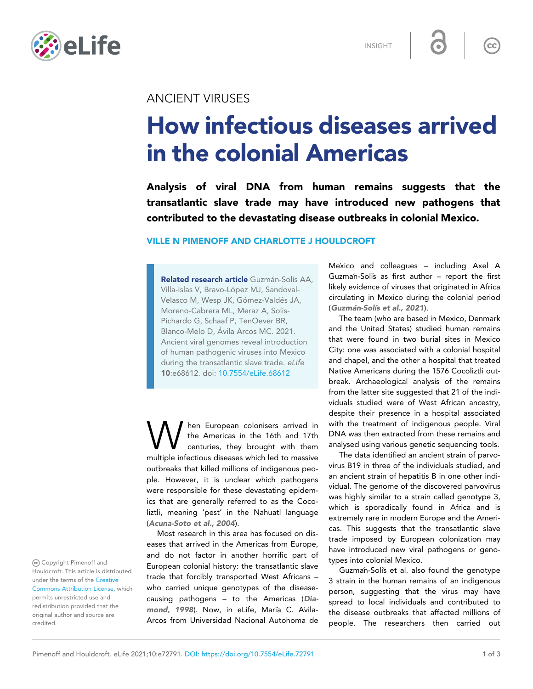

INSIGHT

 $\overline{\mathsf{cc}}$ 

## ANCIENT VIRUSES

# How infectious diseases arrived in the colonial Americas

Analysis of viral DNA from human remains suggests that the transatlantic slave trade may have introduced new pathogens that contributed to the devastating disease outbreaks in colonial Mexico.

### VILLE N PIMENOFF AND CHARLOTTE J HOULDCROFT

Related research article Guzmán-Solís AA, Villa-Islas V, Bravo-López MJ, Sandoval-Velasco M, Wesp JK, Gómez-Valdés JA, Moreno-Cabrera ML, Meraz A, Solís-Pichardo G, Schaaf P, TenOever BR, Blanco-Melo D, Ávila Arcos MC. 2021. Ancient viral genomes reveal introduction of human pathogenic viruses into Mexico during the transatlantic slave trade. eLife 10:e68612. doi: [10.7554/eLife.68612](http://doi.org/10.7554/eLife.68612)

**W** hen European colonisers arrived in the Americas in the 16th and 17th centuries, they brought with them multiple infectious diseases which led to massive hen European colonisers arrived in the Americas in the 16th and 17th centuries, they brought with them outbreaks that killed millions of indigenous people. However, it is unclear which pathogens were responsible for these devastating epidemics that are generally referred to as the Cocoliztli, meaning 'pest' in the Nahuatl language ([Acuna-Soto et al., 2004](#page-1-0)).

Most research in this area has focused on diseases that arrived in the Americas from Europe, and do not factor in another horrific part of European colonial history: the transatlantic slave trade that forcibly transported West Africans – who carried unique genotypes of the diseasecausing pathogens – to the Americas ([Dia](#page-2-0)[mond, 1998](#page-2-0)). Now, in eLife, Maria C. Avila-Arcos from Universidad Nacional Autonoma de

Mexico and colleagues – including Axel A Guzman-Solis as first author – report the first likely evidence of viruses that originated in Africa circulating in Mexico during the colonial period (Guzmán-Solís et al., 2021).

The team (who are based in Mexico, Denmark and the United States) studied human remains that were found in two burial sites in Mexico City: one was associated with a colonial hospital and chapel, and the other a hospital that treated Native Americans during the 1576 Cocoliztli outbreak. Archaeological analysis of the remains from the latter site suggested that 21 of the individuals studied were of West African ancestry, despite their presence in a hospital associated with the treatment of indigenous people. Viral DNA was then extracted from these remains and analysed using various genetic sequencing tools.

The data identified an ancient strain of parvovirus B19 in three of the individuals studied, and an ancient strain of hepatitis B in one other individual. The genome of the discovered parvovirus was highly similar to a strain called genotype 3, which is sporadically found in Africa and is extremely rare in modern Europe and the Americas. This suggests that the transatlantic slave trade imposed by European colonization may have introduced new viral pathogens or genotypes into colonial Mexico.

Guzman-Soli's et al. also found the genotype 3 strain in the human remains of an indigenous person, suggesting that the virus may have spread to local individuals and contributed to the disease outbreaks that affected millions of people. The researchers then carried out

Copyright Pimenoff and Houldcroft. This article is distributed under the terms of the [Creative](http://creativecommons.org/licenses/by/4.0/) [Commons Attribution License,](http://creativecommons.org/licenses/by/4.0/) which permits unrestricted use and redistribution provided that the original author and source are credited.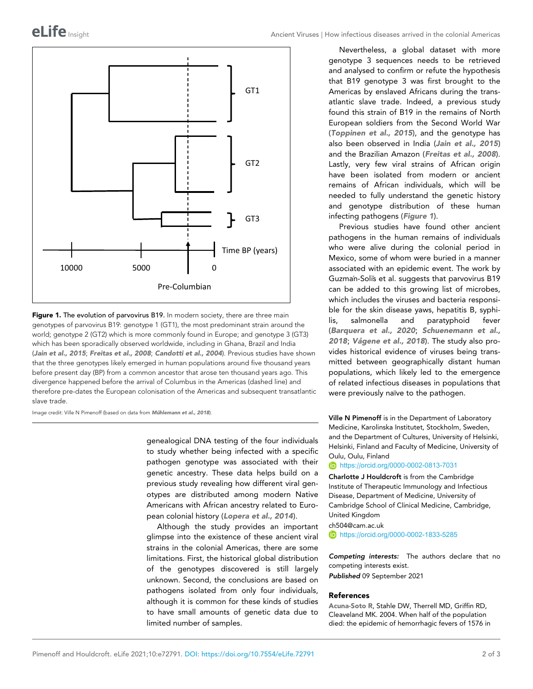<span id="page-1-0"></span>

Figure 1. The evolution of parvovirus B19. In modern society, there are three main genotypes of parvovirus B19: genotype 1 (GT1), the most predominant strain around the world; genotype 2 (GT2) which is more commonly found in Europe; and genotype 3 (GT3) which has been sporadically observed worldwide, including in Ghana, Brazil and India ([Jain et al., 2015](#page-2-0); [Freitas et al., 2008](#page-2-0); [Candotti et al., 2004](#page-2-0)). Previous studies have shown that the three genotypes likely emerged in human populations around five thousand years before present day (BP) from a common ancestor that arose ten thousand years ago. This divergence happened before the arrival of Columbus in the Americas (dashed line) and therefore pre-dates the European colonisation of the Americas and subsequent transatlantic slave trade.

Image credit: Ville N Pimenoff (based on data from Mühlemann et al., 2018).

genealogical DNA testing of the four individuals to study whether being infected with a specific pathogen genotype was associated with their genetic ancestry. These data helps build on a previous study revealing how different viral genotypes are distributed among modern Native Americans with African ancestry related to European colonial history ([Lopera et al., 2014](#page-2-0)).

Although the study provides an important glimpse into the existence of these ancient viral strains in the colonial Americas, there are some limitations. First, the historical global distribution of the genotypes discovered is still largely unknown. Second, the conclusions are based on pathogens isolated from only four individuals, although it is common for these kinds of studies to have small amounts of genetic data due to limited number of samples.

Nevertheless, a global dataset with more genotype 3 sequences needs to be retrieved and analysed to confirm or refute the hypothesis that B19 genotype 3 was first brought to the Americas by enslaved Africans during the transatlantic slave trade. Indeed, a previous study found this strain of B19 in the remains of North European soldiers from the Second World War ([Toppinen et al., 2015](#page-2-0)), and the genotype has also been observed in India ([Jain et al., 2015](#page-2-0)) and the Brazilian Amazon ([Freitas et al., 2008](#page-2-0)). Lastly, very few viral strains of African origin have been isolated from modern or ancient remains of African individuals, which will be needed to fully understand the genetic history and genotype distribution of these human infecting pathogens (Figure 1).

Previous studies have found other ancient pathogens in the human remains of individuals who were alive during the colonial period in Mexico, some of whom were buried in a manner associated with an epidemic event. The work by Guzman-Soli's et al. suggests that parvovirus B19 can be added to this growing list of microbes, which includes the viruses and bacteria responsible for the skin disease yaws, hepatitis B, syphilis, salmonella and paratyphoid fever ([Barquera et al., 2020](#page-2-0); [Schuenemann et al.,](#page-2-0) [2018](#page-2-0); Vågene et al., 2018). The study also provides historical evidence of viruses being transmitted between geographically distant human populations, which likely led to the emergence of related infectious diseases in populations that were previously naïve to the pathogen.

Ville N Pimenoff is in the Department of Laboratory Medicine, Karolinska Institutet, Stockholm, Sweden, and the Department of Cultures, University of Helsinki, Helsinki, Finland and Faculty of Medicine, University of Oulu, Oulu, Finland

<https://orcid.org/0000-0002-0813-7031>

Charlotte J Houldcroft is from the Cambridge Institute of Therapeutic Immunology and Infectious Disease, Department of Medicine, University of Cambridge School of Clinical Medicine, Cambridge, United Kingdom

ch504@cam.ac.uk

<https://orcid.org/0000-0002-1833-5285>

Competing interests: The authors declare that no competing interests exist. Published 09 September 2021

#### References

Acuna-Soto R, Stahle DW, Therrell MD, Griffin RD, Cleaveland MK. 2004. When half of the population died: the epidemic of hemorrhagic fevers of 1576 in